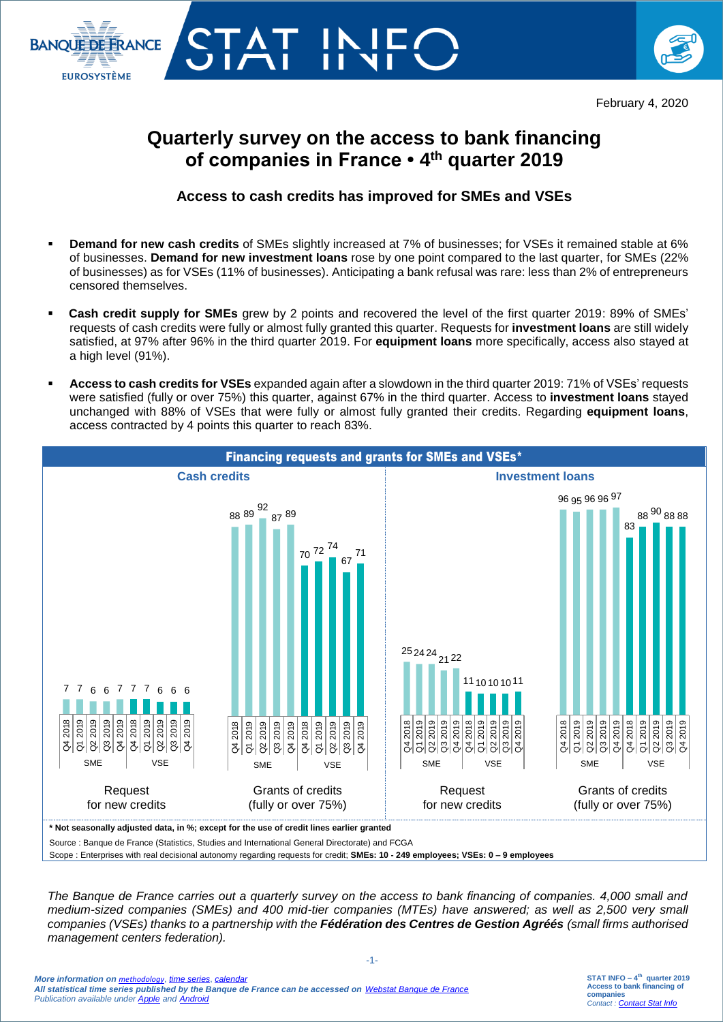



## **Quarterly survey on the access to bank financing of companies in France • 4 th quarter 2019**

## **Access to cash credits has improved for SMEs and VSEs**

- **Demand for new cash credits** of SMEs slightly increased at 7% of businesses; for VSEs it remained stable at 6% of businesses. **Demand for new investment loans** rose by one point compared to the last quarter, for SMEs (22% of businesses) as for VSEs (11% of businesses). Anticipating a bank refusal was rare: less than 2% of entrepreneurs censored themselves.
- **Cash credit supply for SMEs** grew by 2 points and recovered the level of the first quarter 2019: 89% of SMEs' requests of cash credits were fully or almost fully granted this quarter. Requests for **investment loans** are still widely satisfied, at 97% after 96% in the third quarter 2019. For **equipment loans** more specifically, access also stayed at a high level (91%).
- **Access to cash credits for VSEs** expanded again after a slowdown in the third quarter 2019: 71% of VSEs' requests were satisfied (fully or over 75%) this quarter, against 67% in the third quarter. Access to **investment loans** stayed unchanged with 88% of VSEs that were fully or almost fully granted their credits. Regarding **equipment loans**, access contracted by 4 points this quarter to reach 83%.



Scope : Enterprises with real decisional autonomy regarding requests for credit; **SMEs: 10 - 249 employees; VSEs: 0 – 9 employees**

*The Banque de France carries out a quarterly survey on the access to bank financing of companies. 4,000 small and medium-sized companies (SMEs) and 400 mid-tier companies (MTEs) have answered; as well as 2,500 very small companies (VSEs) thanks to a partnership with the Fédération des Centres de Gestion Agréés (small firms authorised management centers federation).* 

-1-